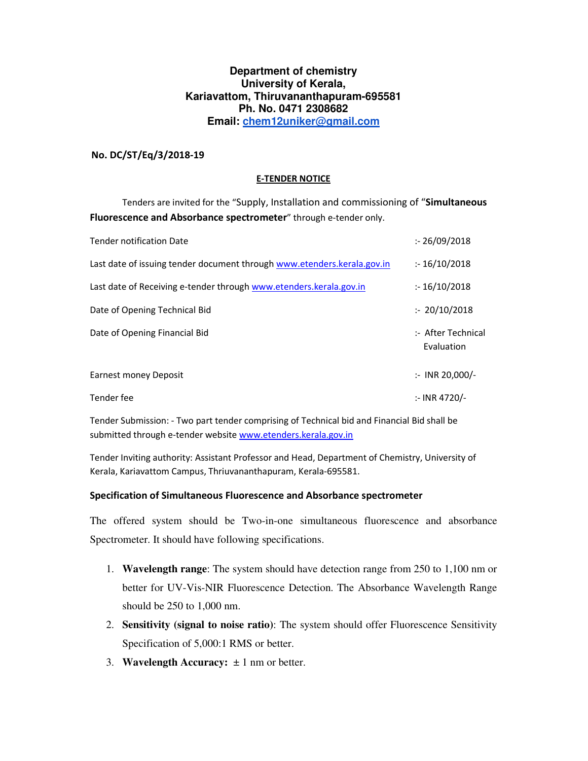### **Department of chemistry University of Kerala, Kariavattom, Thiruvananthapuram-695581 Ph. No. 0471 2308682 Email: chem12uniker@gmail.com**

### **No. DC/ST/Eq/3/2018-19**

### **E-TENDER NOTICE**

 Tenders are invited for the "Supply, Installation and commissioning of "**Simultaneous Fluorescence and Absorbance spectrometer**" through e-tender only.

| <b>Tender notification Date</b>                                         | : 26/09/2018                     |
|-------------------------------------------------------------------------|----------------------------------|
| Last date of issuing tender document through www.etenders.kerala.gov.in | : 16/10/2018                     |
| Last date of Receiving e-tender through www.etenders.kerala.gov.in      | : 16/10/2018                     |
| Date of Opening Technical Bid                                           | : 20/10/2018                     |
| Date of Opening Financial Bid                                           | :- After Technical<br>Evaluation |
| Earnest money Deposit                                                   | $\therefore$ INR 20,000/-        |
| Tender fee                                                              | :- INR 4720/-                    |

Tender Submission: - Two part tender comprising of Technical bid and Financial Bid shall be submitted through e-tender website www.etenders.kerala.gov.in

Tender Inviting authority: Assistant Professor and Head, Department of Chemistry, University of Kerala, Kariavattom Campus, Thriuvananthapuram, Kerala-695581.

#### **Specification of Simultaneous Fluorescence and Absorbance spectrometer**

The offered system should be Two-in-one simultaneous fluorescence and absorbance Spectrometer. It should have following specifications.

- 1. **Wavelength range**: The system should have detection range from 250 to 1,100 nm or better for UV-Vis-NIR Fluorescence Detection. The Absorbance Wavelength Range should be 250 to 1,000 nm.
- 2. **Sensitivity (signal to noise ratio)**: The system should offer Fluorescence Sensitivity Specification of 5,000:1 RMS or better.
- 3. **Wavelength Accuracy:**  $\pm 1$  nm or better.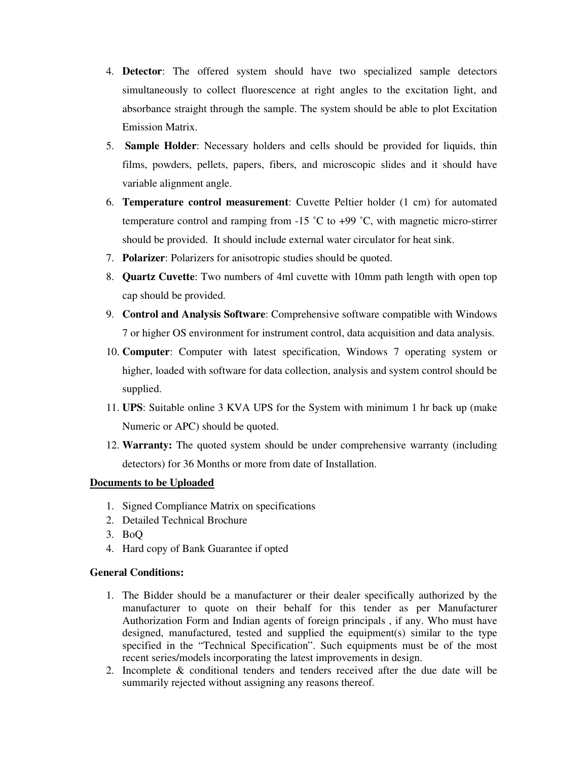- 4. **Detector**: The offered system should have two specialized sample detectors simultaneously to collect fluorescence at right angles to the excitation light, and absorbance straight through the sample. The system should be able to plot Excitation Emission Matrix.
- 5. **Sample Holder**: Necessary holders and cells should be provided for liquids, thin films, powders, pellets, papers, fibers, and microscopic slides and it should have variable alignment angle.
- 6. **Temperature control measurement**: Cuvette Peltier holder (1 cm) for automated temperature control and ramping from  $-15\degree C$  to  $+99\degree C$ , with magnetic micro-stirrer should be provided. It should include external water circulator for heat sink.
- 7. **Polarizer**: Polarizers for anisotropic studies should be quoted.
- 8. **Quartz Cuvette**: Two numbers of 4ml cuvette with 10mm path length with open top cap should be provided.
- 9. **Control and Analysis Software**: Comprehensive software compatible with Windows 7 or higher OS environment for instrument control, data acquisition and data analysis.
- 10. **Computer**: Computer with latest specification, Windows 7 operating system or higher, loaded with software for data collection, analysis and system control should be supplied.
- 11. **UPS**: Suitable online 3 KVA UPS for the System with minimum 1 hr back up (make Numeric or APC) should be quoted.
- 12. **Warranty:** The quoted system should be under comprehensive warranty (including detectors) for 36 Months or more from date of Installation.

# **Documents to be Uploaded**

- 1. Signed Compliance Matrix on specifications
- 2. Detailed Technical Brochure
- 3. BoQ
- 4. Hard copy of Bank Guarantee if opted

# **General Conditions:**

- 1. The Bidder should be a manufacturer or their dealer specifically authorized by the manufacturer to quote on their behalf for this tender as per Manufacturer Authorization Form and Indian agents of foreign principals , if any. Who must have designed, manufactured, tested and supplied the equipment(s) similar to the type specified in the "Technical Specification". Such equipments must be of the most recent series/models incorporating the latest improvements in design.
- 2. Incomplete & conditional tenders and tenders received after the due date will be summarily rejected without assigning any reasons thereof.